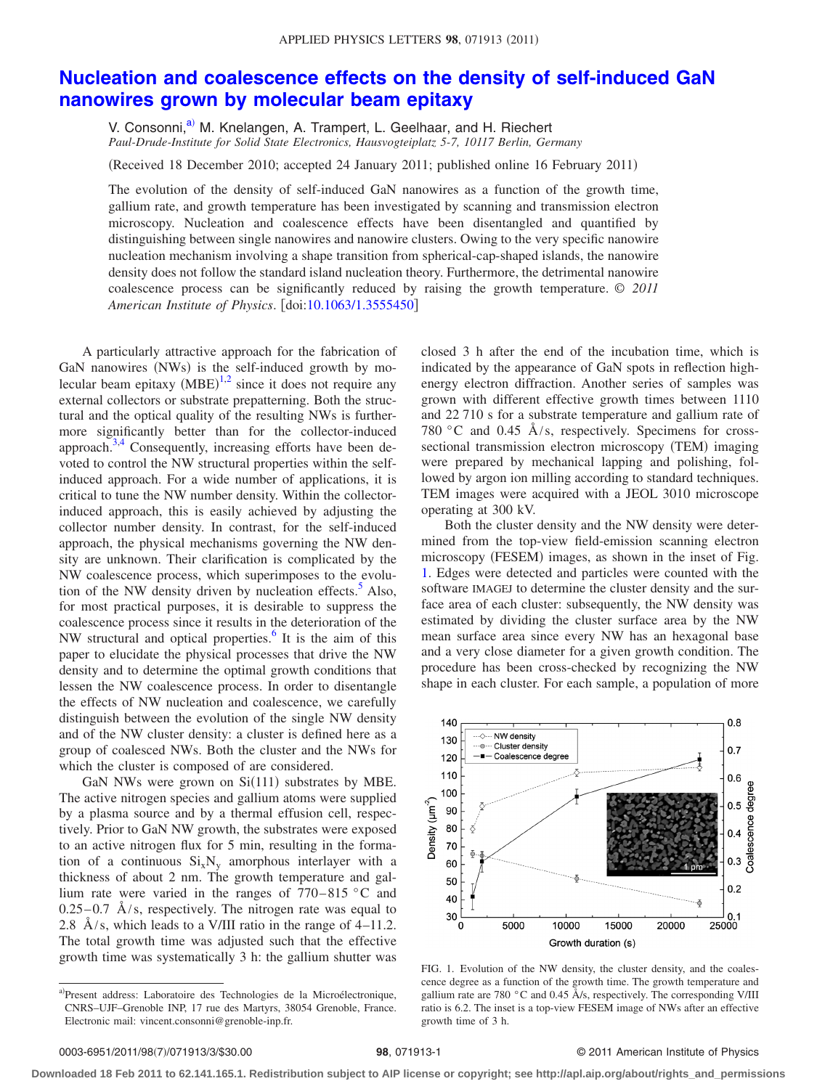## **[Nucleation and coalescence effects on the density of self-induced GaN](http://dx.doi.org/10.1063/1.3555450) [nanowires grown by molecular beam epitaxy](http://dx.doi.org/10.1063/1.3555450)**

V. Consonni,<sup>a)</sup> M. Knelangen, A. Trampert, L. Geelhaar, and H. Riechert *Paul-Drude-Institute for Solid State Electronics, Hausvogteiplatz 5-7, 10117 Berlin, Germany*

(Received 18 December 2010; accepted 24 January 2011; published online 16 February 2011)

The evolution of the density of self-induced GaN nanowires as a function of the growth time, gallium rate, and growth temperature has been investigated by scanning and transmission electron microscopy. Nucleation and coalescence effects have been disentangled and quantified by distinguishing between single nanowires and nanowire clusters. Owing to the very specific nanowire nucleation mechanism involving a shape transition from spherical-cap-shaped islands, the nanowire density does not follow the standard island nucleation theory. Furthermore, the detrimental nanowire coalescence process can be significantly reduced by raising the growth temperature. © *2011 American Institute of Physics*. doi[:10.1063/1.3555450](http://dx.doi.org/10.1063/1.3555450)

A particularly attractive approach for the fabrication of GaN nanowires (NWs) is the self-induced growth by molecular beam epitaxy  $(MBE)^{1,2}$  $(MBE)^{1,2}$  $(MBE)^{1,2}$  $(MBE)^{1,2}$  since it does not require any external collectors or substrate prepatterning. Both the structural and the optical quality of the resulting NWs is furthermore significantly better than for the collector-induced approach.<sup>3[,4](#page-2-3)</sup> Consequently, increasing efforts have been devoted to control the NW structural properties within the selfinduced approach. For a wide number of applications, it is critical to tune the NW number density. Within the collectorinduced approach, this is easily achieved by adjusting the collector number density. In contrast, for the self-induced approach, the physical mechanisms governing the NW density are unknown. Their clarification is complicated by the NW coalescence process, which superimposes to the evolution of the NW density driven by nucleation effects.<sup>5</sup> Also, for most practical purposes, it is desirable to suppress the coalescence process since it results in the deterioration of the NW structural and optical properties. $6$  It is the aim of this paper to elucidate the physical processes that drive the NW density and to determine the optimal growth conditions that lessen the NW coalescence process. In order to disentangle the effects of NW nucleation and coalescence, we carefully distinguish between the evolution of the single NW density and of the NW cluster density: a cluster is defined here as a group of coalesced NWs. Both the cluster and the NWs for which the cluster is composed of are considered.

GaN NWs were grown on  $Si(111)$  substrates by MBE. The active nitrogen species and gallium atoms were supplied by a plasma source and by a thermal effusion cell, respectively. Prior to GaN NW growth, the substrates were exposed to an active nitrogen flux for 5 min, resulting in the formation of a continuous  $Si_xN_y$  amorphous interlayer with a thickness of about 2 nm. The growth temperature and gallium rate were varied in the ranges of  $770-815$  °C and  $0.25-0.7$  Å/s, respectively. The nitrogen rate was equal to 2.8 Å/s, which leads to a V/III ratio in the range of 4–11.2. The total growth time was adjusted such that the effective growth time was systematically 3 h: the gallium shutter was closed 3 h after the end of the incubation time, which is indicated by the appearance of GaN spots in reflection highenergy electron diffraction. Another series of samples was grown with different effective growth times between 1110 and 22 710 s for a substrate temperature and gallium rate of 780 °C and 0.45 Å/s, respectively. Specimens for crosssectional transmission electron microscopy (TEM) imaging were prepared by mechanical lapping and polishing, followed by argon ion milling according to standard techniques. TEM images were acquired with a JEOL 3010 microscope operating at 300 kV.

Both the cluster density and the NW density were determined from the top-view field-emission scanning electron microscopy (FESEM) images, as shown in the inset of Fig. [1.](#page-0-1) Edges were detected and particles were counted with the software IMAGEJ to determine the cluster density and the surface area of each cluster: subsequently, the NW density was estimated by dividing the cluster surface area by the NW mean surface area since every NW has an hexagonal base and a very close diameter for a given growth condition. The procedure has been cross-checked by recognizing the NW shape in each cluster. For each sample, a population of more

<span id="page-0-1"></span>

FIG. 1. Evolution of the NW density, the cluster density, and the coalescence degree as a function of the growth time. The growth temperature and gallium rate are 780  $\degree$ C and 0.45 Å/s, respectively. The corresponding V/III ratio is 6.2. The inset is a top-view FESEM image of NWs after an effective growth time of 3 h.

## 98, 071913-1 **30.000 CENTER SERVICE OF PHYSICS** © 2011 American Institute of Physics

**Downloaded 18 Feb 2011 to 62.141.165.1. Redistribution subject to AIP license or copyright; see http://apl.aip.org/about/rights\_and\_permissions**

<span id="page-0-0"></span>a)Present address: Laboratoire des Technologies de la Microélectronique, CNRS–UJF–Grenoble INP, 17 rue des Martyrs, 38054 Grenoble, France. Electronic mail: vincent.consonni@grenoble-inp.fr.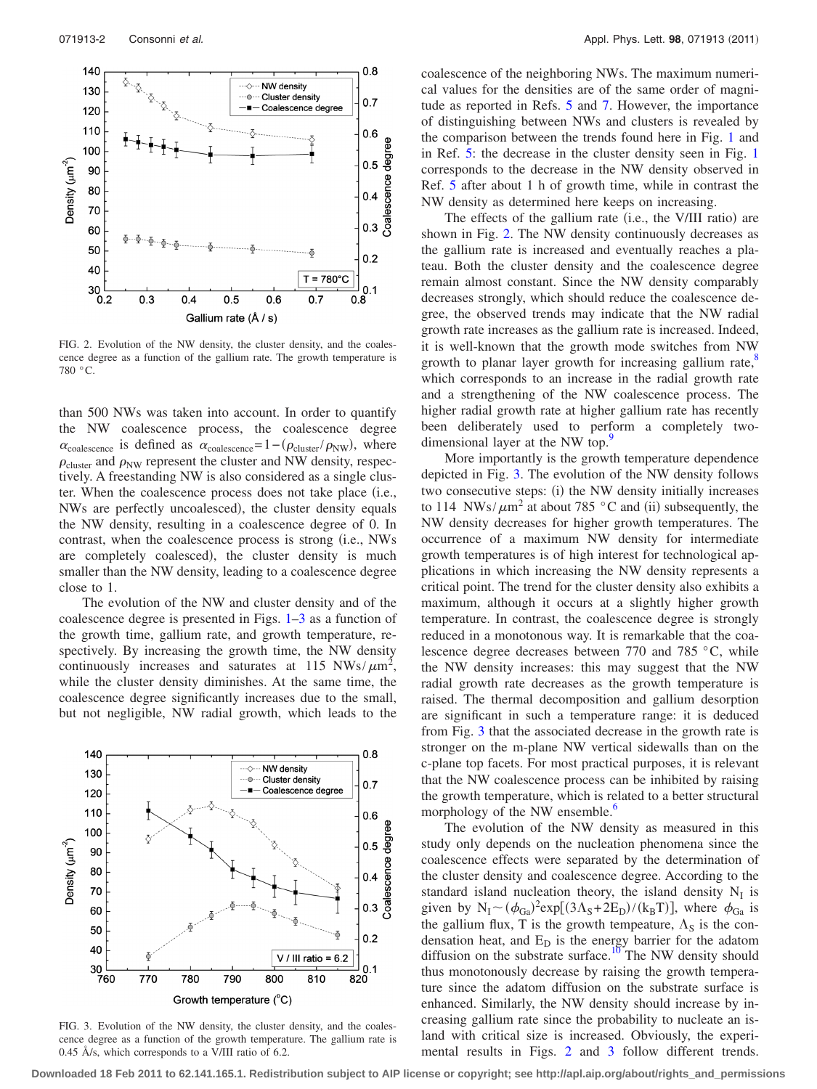<span id="page-1-1"></span>

FIG. 2. Evolution of the NW density, the cluster density, and the coalescence degree as a function of the gallium rate. The growth temperature is 780 °C.

than 500 NWs was taken into account. In order to quantify the NW coalescence process, the coalescence degree  $\alpha_{\text{coalescence}}$  is defined as  $\alpha_{\text{coalescence}} = 1 - (\rho_{\text{cluster}}/\rho_{\text{NW}})$ , where  $\rho_{\text{cluster}}$  and  $\rho_{\text{NW}}$  represent the cluster and NW density, respectively. A freestanding NW is also considered as a single cluster. When the coalescence process does not take place (i.e., NWs are perfectly uncoalesced, the cluster density equals the NW density, resulting in a coalescence degree of 0. In contrast, when the coalescence process is strong (i.e., NWs are completely coalesced, the cluster density is much smaller than the NW density, leading to a coalescence degree close to 1.

The evolution of the NW and cluster density and of the coalescence degree is presented in Figs. [1](#page-0-1)[–3](#page-1-0) as a function of the growth time, gallium rate, and growth temperature, respectively. By increasing the growth time, the NW density continuously increases and saturates at 115 NWs/ $\mu$ m<sup>2</sup>, while the cluster density diminishes. At the same time, the coalescence degree significantly increases due to the small, but not negligible, NW radial growth, which leads to the

<span id="page-1-0"></span>

FIG. 3. Evolution of the NW density, the cluster density, and the coalescence degree as a function of the growth temperature. The gallium rate is 0.45 Å/s, which corresponds to a V/III ratio of 6.2.

coalescence of the neighboring NWs. The maximum numerical values for the densities are of the same order of magnitude as reported in Refs. [5](#page-2-4) and [7.](#page-2-6) However, the importance of distinguishing between NWs and clusters is revealed by the comparison between the trends found here in Fig. [1](#page-0-1) and in Ref. [5:](#page-2-4) the decrease in the cluster density seen in Fig. [1](#page-0-1) corresponds to the decrease in the NW density observed in Ref. [5](#page-2-4) after about 1 h of growth time, while in contrast the NW density as determined here keeps on increasing.

The effects of the gallium rate (i.e., the V/III ratio) are shown in Fig. [2.](#page-1-1) The NW density continuously decreases as the gallium rate is increased and eventually reaches a plateau. Both the cluster density and the coalescence degree remain almost constant. Since the NW density comparably decreases strongly, which should reduce the coalescence degree, the observed trends may indicate that the NW radial growth rate increases as the gallium rate is increased. Indeed, it is well-known that the growth mode switches from NW growth to planar layer growth for increasing gallium rate, $\delta$ which corresponds to an increase in the radial growth rate and a strengthening of the NW coalescence process. The higher radial growth rate at higher gallium rate has recently been deliberately used to perform a completely twodimensional layer at the NW top.<sup>9</sup>

More importantly is the growth temperature dependence depicted in Fig. [3.](#page-1-0) The evolution of the NW density follows two consecutive steps: (i) the NW density initially increases to 114 NWs/ $\mu$ m<sup>2</sup> at about 785 °C and (ii) subsequently, the NW density decreases for higher growth temperatures. The occurrence of a maximum NW density for intermediate growth temperatures is of high interest for technological applications in which increasing the NW density represents a critical point. The trend for the cluster density also exhibits a maximum, although it occurs at a slightly higher growth temperature. In contrast, the coalescence degree is strongly reduced in a monotonous way. It is remarkable that the coalescence degree decreases between 770 and 785 °C, while the NW density increases: this may suggest that the NW radial growth rate decreases as the growth temperature is raised. The thermal decomposition and gallium desorption are significant in such a temperature range: it is deduced from Fig. [3](#page-1-0) that the associated decrease in the growth rate is stronger on the m-plane NW vertical sidewalls than on the c-plane top facets. For most practical purposes, it is relevant that the NW coalescence process can be inhibited by raising the growth temperature, which is related to a better structural morphology of the NW ensemble.<sup>6</sup>

The evolution of the NW density as measured in this study only depends on the nucleation phenomena since the coalescence effects were separated by the determination of the cluster density and coalescence degree. According to the standard island nucleation theory, the island density  $N_I$  is given by  $N_I \sim (\phi_{Ga})^2 \exp[(3\Lambda_S + 2E_D)/(k_B T)]$ , where  $\phi_{Ga}$  is the gallium flux, T is the growth tempeature,  $\Lambda_s$  is the condensation heat, and  $E_D$  is the energy barrier for the adatom diffusion on the substrate surface.<sup>10</sup> The NW density should thus monotonously decrease by raising the growth temperature since the adatom diffusion on the substrate surface is enhanced. Similarly, the NW density should increase by increasing gallium rate since the probability to nucleate an island with critical size is increased. Obviously, the experimental results in Figs. [2](#page-1-1) and [3](#page-1-0) follow different trends.

**Downloaded 18 Feb 2011 to 62.141.165.1. Redistribution subject to AIP license or copyright; see http://apl.aip.org/about/rights\_and\_permissions**